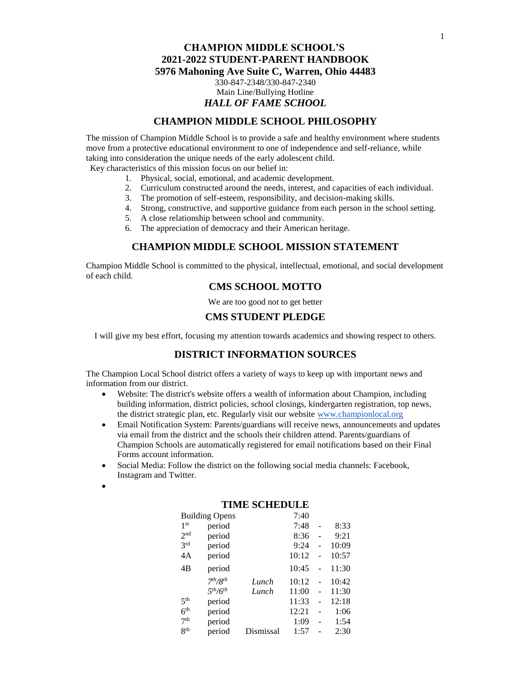# **CHAMPION MIDDLE SCHOOL PHILOSOPHY**

The mission of Champion Middle School is to provide a safe and healthy environment where students move from a protective educational environment to one of independence and self-reliance, while taking into consideration the unique needs of the early adolescent child.

Key characteristics of this mission focus on our belief in:

- 1. Physical, social, emotional, and academic development.
- 2. Curriculum constructed around the needs, interest, and capacities of each individual.
- 3. The promotion of self-esteem, responsibility, and decision-making skills.
- 4. Strong, constructive, and supportive guidance from each person in the school setting.
- 5. A close relationship between school and community.
- 6. The appreciation of democracy and their American heritage.

### **CHAMPION MIDDLE SCHOOL MISSION STATEMENT**

Champion Middle School is committed to the physical, intellectual, emotional, and social development of each child.

# **CMS SCHOOL MOTTO**

We are too good not to get better

# **CMS STUDENT PLEDGE**

I will give my best effort, focusing my attention towards academics and showing respect to others.

# **DISTRICT INFORMATION SOURCES**

The Champion Local School district offers a variety of ways to keep up with important news and information from our district.

- Website: The district's website offers a wealth of information about Champion, including building information, district policies, school closings, kindergarten registration, top news, the district strategic plan, etc. Regularly visit our website [www.championlocal.org](http://www.championlocal.org/)
- Email Notification System: Parents/guardians will receive news, announcements and updates via email from the district and the schools their children attend. Parents/guardians of Champion Schools are automatically registered for email notifications based on their Final Forms account information.
- Social Media: Follow the district on the following social media channels: Facebook, Instagram and Twitter.
- •

| LIMIE SULIEDULE       |                                  |           |       |    |       |
|-----------------------|----------------------------------|-----------|-------|----|-------|
| <b>Building Opens</b> |                                  |           | 7:40  |    |       |
| 1 <sup>st</sup>       | period                           |           | 7:48  |    | 8:33  |
| 2 <sub>nd</sub>       | period                           |           | 8:36  |    | 9:21  |
| 2rd                   | period                           |           | 9:24  |    | 10:09 |
| 4A                    | period                           |           | 10:12 |    | 10:57 |
| 4B                    | period                           |           | 10:45 |    | 11:30 |
|                       | 7 <sup>th</sup> /8 <sup>th</sup> | Lunch     | 10:12 | L. | 10:42 |
|                       | 5 <sup>th</sup> /6 <sup>th</sup> | Lunch     | 11:00 |    | 11:30 |
| 5 <sup>th</sup>       | period                           |           | 11:33 |    | 12:18 |
| 6 <sup>th</sup>       | period                           |           | 12:21 |    | 1:06  |
| 7 <sup>th</sup>       | period                           |           | 1:09  |    | 1:54  |
| 8 <sup>th</sup>       | period                           | Dismissal | 1:57  |    | 2:30  |

## **TIME SCHEDULE**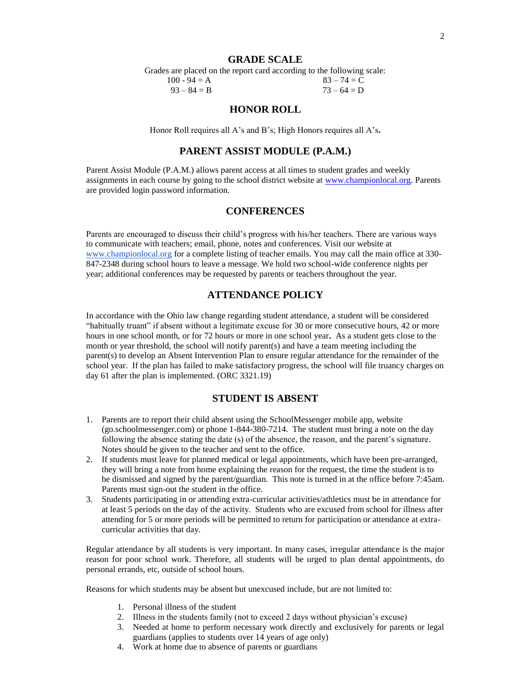## **GRADE SCALE**

Grades are placed on the report card according to the following scale:  $100 - 94 = A$  83 – 74 = C

 $93 - 84 = B$  73 – 64 = D

# **HONOR ROLL**

Honor Roll requires all A's and B's; High Honors requires all A's**.**

## **PARENT ASSIST MODULE (P.A.M.)**

Parent Assist Module (P.A.M.) allows parent access at all times to student grades and weekly assignments in each course by going to the school district website at [www.championlocal.org.](http://www.championlocal.org/) Parents are provided login password information.

## **CONFERENCES**

Parents are encouraged to discuss their child's progress with his/her teachers. There are various ways to communicate with teachers; email, phone, notes and conferences. Visit our website at [www.championlocal.org](http://www.championlocal.org/) for a complete listing of teacher emails. You may call the main office at 330- 847-2348 during school hours to leave a message. We hold two school-wide conference nights per year; additional conferences may be requested by parents or teachers throughout the year.

## **ATTENDANCE POLICY**

In accordance with the Ohio law change regarding student attendance, a student will be considered "habitually truant" if absent without a legitimate excuse for 30 or more consecutive hours, 42 or more hours in one school month, or for 72 hours or more in one school year**.** As a student gets close to the month or year threshold, the school will notify parent(s) and have a team meeting including the parent(s) to develop an Absent Intervention Plan to ensure regular attendance for the remainder of the school year. If the plan has failed to make satisfactory progress, the school will file truancy charges on day 61 after the plan is implemented. (ORC 3321.19)

## **STUDENT IS ABSENT**

- 1. Parents are to report their child absent using the SchoolMessenger mobile app, website (go.schoolmessenger.com) or phone 1-844-380-7214. The student must bring a note on the day following the absence stating the date (s) of the absence, the reason, and the parent's signature. Notes should be given to the teacher and sent to the office.
- 2. If students must leave for planned medical or legal appointments, which have been pre-arranged, they will bring a note from home explaining the reason for the request, the time the student is to be dismissed and signed by the parent/guardian. This note is turned in at the office before 7:45am. Parents must sign-out the student in the office.
- 3. Students participating in or attending extra-curricular activities/athletics must be in attendance for at least 5 periods on the day of the activity. Students who are excused from school for illness after attending for 5 or more periods will be permitted to return for participation or attendance at extracurricular activities that day.

Regular attendance by all students is very important. In many cases, irregular attendance is the major reason for poor school work. Therefore, all students will be urged to plan dental appointments, do personal errands, etc, outside of school hours.

Reasons for which students may be absent but unexcused include, but are not limited to:

- 1. Personal illness of the student
- 2. Illness in the students family (not to exceed 2 days without physician's excuse)
- 3. Needed at home to perform necessary work directly and exclusively for parents or legal guardians (applies to students over 14 years of age only)
- 4. Work at home due to absence of parents or guardians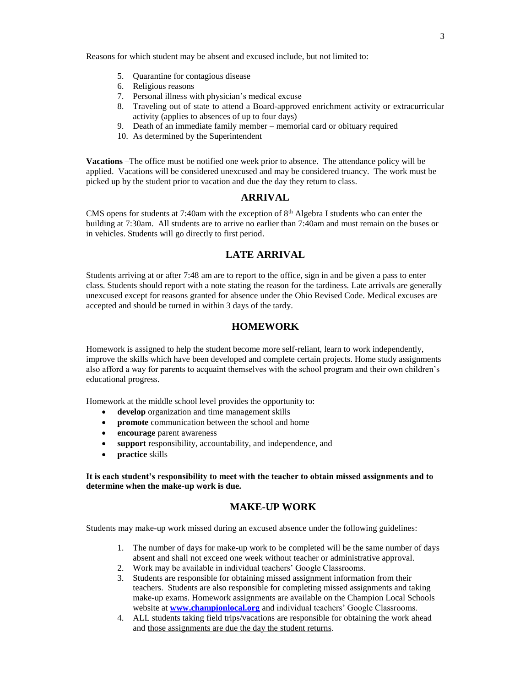Reasons for which student may be absent and excused include, but not limited to:

- 5. Quarantine for contagious disease
- 6. Religious reasons
- 7. Personal illness with physician's medical excuse
- 8. Traveling out of state to attend a Board-approved enrichment activity or extracurricular activity (applies to absences of up to four days)
- 9. Death of an immediate family member memorial card or obituary required
- 10. As determined by the Superintendent

**Vacations** –The office must be notified one week prior to absence. The attendance policy will be applied. Vacations will be considered unexcused and may be considered truancy. The work must be picked up by the student prior to vacation and due the day they return to class.

## **ARRIVAL**

CMS opens for students at 7:40am with the exception of  $8<sup>th</sup>$  Algebra I students who can enter the building at 7:30am. All students are to arrive no earlier than 7:40am and must remain on the buses or in vehicles. Students will go directly to first period.

## **LATE ARRIVAL**

Students arriving at or after 7:48 am are to report to the office, sign in and be given a pass to enter class. Students should report with a note stating the reason for the tardiness. Late arrivals are generally unexcused except for reasons granted for absence under the Ohio Revised Code. Medical excuses are accepted and should be turned in within 3 days of the tardy.

## **HOMEWORK**

Homework is assigned to help the student become more self-reliant, learn to work independently, improve the skills which have been developed and complete certain projects. Home study assignments also afford a way for parents to acquaint themselves with the school program and their own children's educational progress.

Homework at the middle school level provides the opportunity to:

- **develop** organization and time management skills
- **promote** communication between the school and home
- **encourage** parent awareness
- **support** responsibility, accountability, and independence, and
- **practice** skills

**It is each student's responsibility to meet with the teacher to obtain missed assignments and to determine when the make-up work is due.**

## **MAKE-UP WORK**

Students may make-up work missed during an excused absence under the following guidelines:

- 1. The number of days for make-up work to be completed will be the same number of days absent and shall not exceed one week without teacher or administrative approval.
- 2. Work may be available in individual teachers' Google Classrooms.
- 3. Students are responsible for obtaining missed assignment information from their teachers. Students are also responsible for completing missed assignments and taking make-up exams. Homework assignments are available on the Champion Local Schools website at **[www.championlocal.org](http://www.championlocal.org/)** and individual teachers' Google Classrooms.
- 4. ALL students taking field trips/vacations are responsible for obtaining the work ahead and those assignments are due the day the student returns.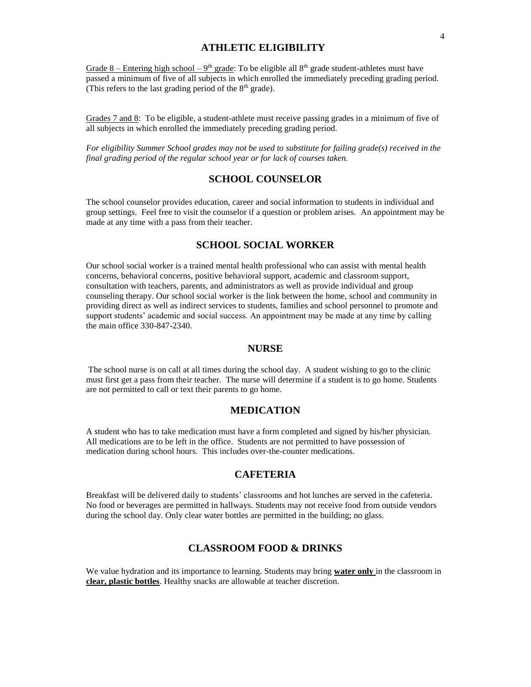# **ATHLETIC ELIGIBILITY**

Grade 8 – Entering high school – 9<sup>th</sup> grade: To be eligible all 8<sup>th</sup> grade student-athletes must have passed a minimum of five of all subjects in which enrolled the immediately preceding grading period. (This refers to the last grading period of the  $8<sup>th</sup>$  grade).

Grades 7 and 8: To be eligible, a student-athlete must receive passing grades in a minimum of five of all subjects in which enrolled the immediately preceding grading period.

*For eligibility Summer School grades may not be used to substitute for failing grade(s) received in the final grading period of the regular school year or for lack of courses taken.*

# **SCHOOL COUNSELOR**

The school counselor provides education, career and social information to students in individual and group settings. Feel free to visit the counselor if a question or problem arises. An appointment may be made at any time with a pass from their teacher.

# **SCHOOL SOCIAL WORKER**

Our school social worker is a trained mental health professional who can assist with mental health concerns, behavioral concerns, positive behavioral support, academic and classroom support, consultation with teachers, parents, and administrators as well as provide individual and group counseling therapy. Our school social worker is the link between the home, school and community in providing direct as well as indirect services to students, families and school personnel to promote and support students' academic and social success. An appointment may be made at any time by calling the main office 330-847-2340.

## **NURSE**

The school nurse is on call at all times during the school day. A student wishing to go to the clinic must first get a pass from their teacher. The nurse will determine if a student is to go home. Students are not permitted to call or text their parents to go home.

## **MEDICATION**

A student who has to take medication must have a form completed and signed by his/her physician. All medications are to be left in the office. Students are not permitted to have possession of medication during school hours. This includes over-the-counter medications.

# **CAFETERIA**

Breakfast will be delivered daily to students' classrooms and hot lunches are served in the cafeteria. No food or beverages are permitted in hallways. Students may not receive food from outside vendors during the school day. Only clear water bottles are permitted in the building; no glass.

## **CLASSROOM FOOD & DRINKS**

We value hydration and its importance to learning. Students may bring **water only** in the classroom in **clear, plastic bottles**. Healthy snacks are allowable at teacher discretion.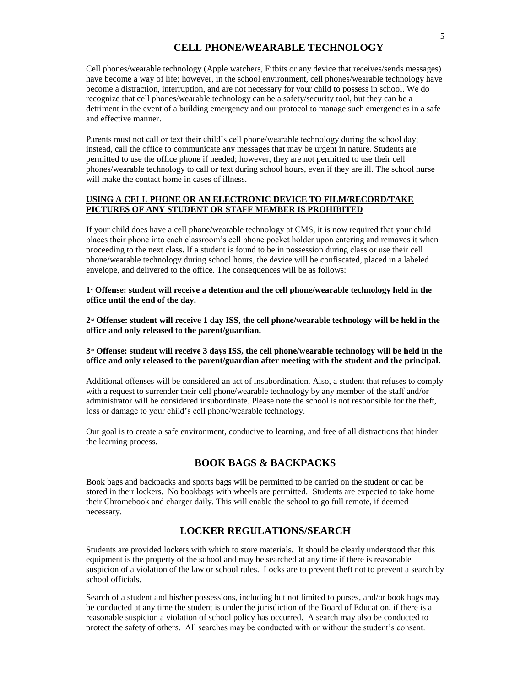# **CELL PHONE/WEARABLE TECHNOLOGY**

Cell phones/wearable technology (Apple watchers, Fitbits or any device that receives/sends messages) have become a way of life; however, in the school environment, cell phones/wearable technology have become a distraction, interruption, and are not necessary for your child to possess in school. We do recognize that cell phones/wearable technology can be a safety/security tool, but they can be a detriment in the event of a building emergency and our protocol to manage such emergencies in a safe and effective manner.

Parents must not call or text their child's cell phone/wearable technology during the school day; instead, call the office to communicate any messages that may be urgent in nature. Students are permitted to use the office phone if needed; however, they are not permitted to use their cell phones/wearable technology to call or text during school hours, even if they are ill. The school nurse will make the contact home in cases of illness.

## **USING A CELL PHONE OR AN ELECTRONIC DEVICE TO FILM/RECORD/TAKE PICTURES OF ANY STUDENT OR STAFF MEMBER IS PROHIBITED**

If your child does have a cell phone/wearable technology at CMS, it is now required that your child places their phone into each classroom's cell phone pocket holder upon entering and removes it when proceeding to the next class. If a student is found to be in possession during class or use their cell phone/wearable technology during school hours, the device will be confiscated, placed in a labeled envelope, and delivered to the office. The consequences will be as follows:

1<sup>*n*</sup> Offense: student will receive a detention and the cell phone/wearable technology held in the **office until the end of the day.**

**2 nd Offense: student will receive 1 day ISS, the cell phone/wearable technology will be held in the office and only released to the parent/guardian.**

### **3 rd Offense: student will receive 3 days ISS, the cell phone/wearable technology will be held in the office and only released to the parent/guardian after meeting with the student and the principal.**

Additional offenses will be considered an act of insubordination. Also, a student that refuses to comply with a request to surrender their cell phone/wearable technology by any member of the staff and/or administrator will be considered insubordinate. Please note the school is not responsible for the theft, loss or damage to your child's cell phone/wearable technology.

Our goal is to create a safe environment, conducive to learning, and free of all distractions that hinder the learning process.

# **BOOK BAGS & BACKPACKS**

Book bags and backpacks and sports bags will be permitted to be carried on the student or can be stored in their lockers. No bookbags with wheels are permitted. Students are expected to take home their Chromebook and charger daily. This will enable the school to go full remote, if deemed necessary.

# **LOCKER REGULATIONS/SEARCH**

Students are provided lockers with which to store materials. It should be clearly understood that this equipment is the property of the school and may be searched at any time if there is reasonable suspicion of a violation of the law or school rules. Locks are to prevent theft not to prevent a search by school officials.

Search of a student and his/her possessions, including but not limited to purses, and/or book bags may be conducted at any time the student is under the jurisdiction of the Board of Education, if there is a reasonable suspicion a violation of school policy has occurred. A search may also be conducted to protect the safety of others. All searches may be conducted with or without the student's consent.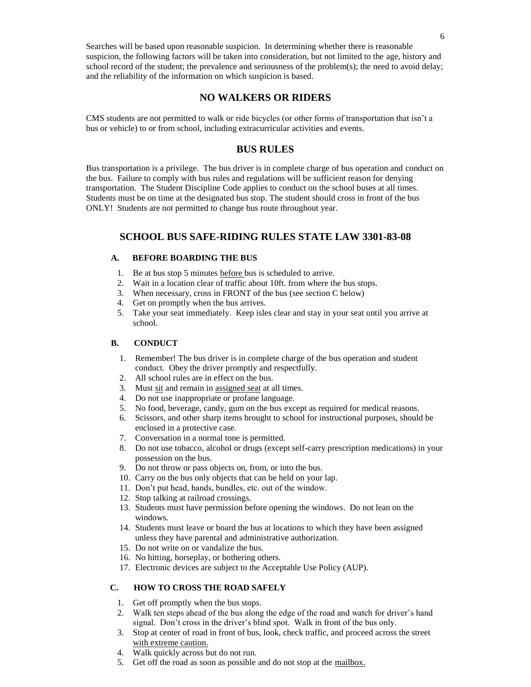Searches will be based upon reasonable suspicion. In determining whether there is reasonable suspicion, the following factors will be taken into consideration, but not limited to the age, history and school record of the student; the prevalence and seriousness of the problem(s); the need to avoid delay; and the reliability of the information on which suspicion is based.

## **NO WALKERS OR RIDERS**

CMS students are not permitted to walk or ride bicycles (or other forms of transportation that isn't a bus or vehicle) to or from school, including extracurricular activities and events.

## **BUS RULES**

Bus transportation is a privilege. The bus driver is in complete charge of bus operation and conduct on the bus. Failure to comply with bus rules and regulations will be sufficient reason for denying transportation. The Student Discipline Code applies to conduct on the school buses at all times. Students must be on time at the designated bus stop. The student should cross in front of the bus ONLY! Students are not permitted to change bus route throughout year.

## **SCHOOL BUS SAFE-RIDING RULES STATE LAW 3301-83-08**

## **A. BEFORE BOARDING THE BUS**

- 1. Be at bus stop 5 minutes before bus is scheduled to arrive.
- 2. Wait in a location clear of traffic about 10ft. from where the bus stops.
- 3. When necessary, cross in FRONT of the bus (see section C below)
- 4. Get on promptly when the bus arrives.
- 5. Take your seat immediately. Keep isles clear and stay in your seat until you arrive at school.

### **B. CONDUCT**

- 1. Remember! The bus driver is in complete charge of the bus operation and student conduct. Obey the driver promptly and respectfully.
- 2. All school rules are in effect on the bus.
- 3. Must sit and remain in assigned seat at all times.
- 4. Do not use inappropriate or profane language.
- 5. No food, beverage, candy, gum on the bus except as required for medical reasons.
- 6. Scissors, and other sharp items brought to school for instructional purposes, should be enclosed in a protective case.
- 7. Conversation in a normal tone is permitted.
- 8. Do not use tobacco, alcohol or drugs (except self-carry prescription medications) in your possession on the bus.
- 9. Do not throw or pass objects on, from, or into the bus.
- 10. Carry on the bus only objects that can be held on your lap.
- 11. Don't put head, hands, bundles, etc. out of the window.
- 12. Stop talking at railroad crossings.
- 13. Students must have permission before opening the windows. Do not lean on the windows.
- 14. Students must leave or board the bus at locations to which they have been assigned unless they have parental and administrative authorization.
- 15. Do not write on or vandalize the bus.
- 16. No hitting, horseplay, or bothering others.
- 17. Electronic devices are subject to the Acceptable Use Policy (AUP).

## **C. HOW TO CROSS THE ROAD SAFELY**

- 1. Get off promptly when the bus stops.
- 2. Walk ten steps ahead of the bus along the edge of the road and watch for driver's hand signal. Don't cross in the driver's blind spot. Walk in front of the bus only.
- 3. Stop at center of road in front of bus, look, check traffic, and proceed across the street with extreme caution.
- 4. Walk quickly across but do not run.
- 5. Get off the road as soon as possible and do not stop at the mailbox.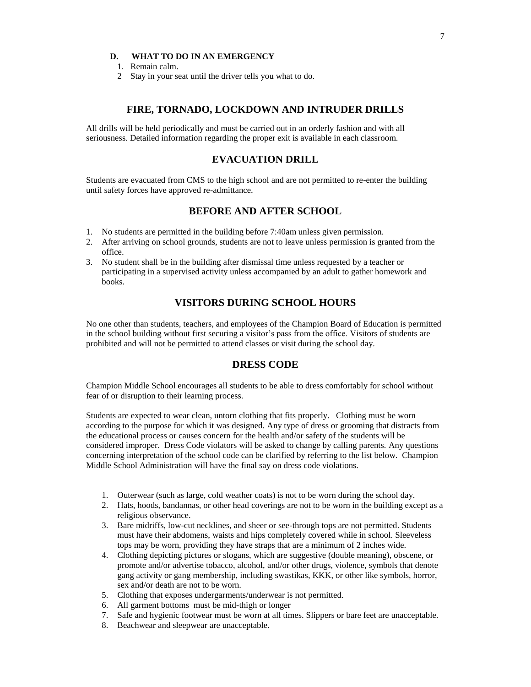## **D. WHAT TO DO IN AN EMERGENCY**

- 1. Remain calm.
- 2 Stay in your seat until the driver tells you what to do.

## **FIRE, TORNADO, LOCKDOWN AND INTRUDER DRILLS**

All drills will be held periodically and must be carried out in an orderly fashion and with all seriousness. Detailed information regarding the proper exit is available in each classroom.

# **EVACUATION DRILL**

Students are evacuated from CMS to the high school and are not permitted to re-enter the building until safety forces have approved re-admittance.

## **BEFORE AND AFTER SCHOOL**

- 1. No students are permitted in the building before 7:40am unless given permission.
- 2. After arriving on school grounds, students are not to leave unless permission is granted from the office.
- 3. No student shall be in the building after dismissal time unless requested by a teacher or participating in a supervised activity unless accompanied by an adult to gather homework and books.

# **VISITORS DURING SCHOOL HOURS**

No one other than students, teachers, and employees of the Champion Board of Education is permitted in the school building without first securing a visitor's pass from the office. Visitors of students are prohibited and will not be permitted to attend classes or visit during the school day.

# **DRESS CODE**

Champion Middle School encourages all students to be able to dress comfortably for school without fear of or disruption to their learning process.

Students are expected to wear clean, untorn clothing that fits properly. Clothing must be worn according to the purpose for which it was designed. Any type of dress or grooming that distracts from the educational process or causes concern for the health and/or safety of the students will be considered improper. Dress Code violators will be asked to change by calling parents. Any questions concerning interpretation of the school code can be clarified by referring to the list below. Champion Middle School Administration will have the final say on dress code violations.

- 1. Outerwear (such as large, cold weather coats) is not to be worn during the school day.
- 2. Hats, hoods, bandannas, or other head coverings are not to be worn in the building except as a religious observance.
- 3. Bare midriffs, low-cut necklines, and sheer or see-through tops are not permitted. Students must have their abdomens, waists and hips completely covered while in school. Sleeveless tops may be worn, providing they have straps that are a minimum of 2 inches wide.
- 4. Clothing depicting pictures or slogans, which are suggestive (double meaning), obscene, or promote and/or advertise tobacco, alcohol, and/or other drugs, violence, symbols that denote gang activity or gang membership, including swastikas, KKK, or other like symbols, horror, sex and/or death are not to be worn.
- 5. Clothing that exposes undergarments/underwear is not permitted.
- 6. All garment bottoms must be mid-thigh or longer
- 7. Safe and hygienic footwear must be worn at all times. Slippers or bare feet are unacceptable.
- 8. Beachwear and sleepwear are unacceptable.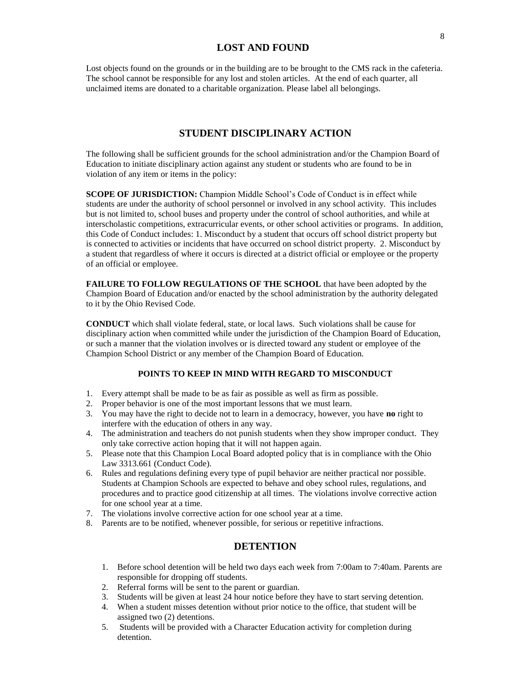# **LOST AND FOUND**

Lost objects found on the grounds or in the building are to be brought to the CMS rack in the cafeteria. The school cannot be responsible for any lost and stolen articles. At the end of each quarter, all unclaimed items are donated to a charitable organization. Please label all belongings.

## **STUDENT DISCIPLINARY ACTION**

The following shall be sufficient grounds for the school administration and/or the Champion Board of Education to initiate disciplinary action against any student or students who are found to be in violation of any item or items in the policy:

**SCOPE OF JURISDICTION:** Champion Middle School's Code of Conduct is in effect while students are under the authority of school personnel or involved in any school activity. This includes but is not limited to, school buses and property under the control of school authorities, and while at interscholastic competitions, extracurricular events, or other school activities or programs. In addition, this Code of Conduct includes: 1. Misconduct by a student that occurs off school district property but is connected to activities or incidents that have occurred on school district property. 2. Misconduct by a student that regardless of where it occurs is directed at a district official or employee or the property of an official or employee.

**FAILURE TO FOLLOW REGULATIONS OF THE SCHOOL** that have been adopted by the Champion Board of Education and/or enacted by the school administration by the authority delegated to it by the Ohio Revised Code.

**CONDUCT** which shall violate federal, state, or local laws. Such violations shall be cause for disciplinary action when committed while under the jurisdiction of the Champion Board of Education, or such a manner that the violation involves or is directed toward any student or employee of the Champion School District or any member of the Champion Board of Education.

### **POINTS TO KEEP IN MIND WITH REGARD TO MISCONDUCT**

- 1. Every attempt shall be made to be as fair as possible as well as firm as possible.
- 2. Proper behavior is one of the most important lessons that we must learn.
- 3. You may have the right to decide not to learn in a democracy, however, you have **no** right to interfere with the education of others in any way.
- 4. The administration and teachers do not punish students when they show improper conduct. They only take corrective action hoping that it will not happen again.
- 5. Please note that this Champion Local Board adopted policy that is in compliance with the Ohio Law 3313.661 (Conduct Code).
- 6. Rules and regulations defining every type of pupil behavior are neither practical nor possible. Students at Champion Schools are expected to behave and obey school rules, regulations, and procedures and to practice good citizenship at all times. The violations involve corrective action for one school year at a time.
- 7. The violations involve corrective action for one school year at a time.
- 8. Parents are to be notified, whenever possible, for serious or repetitive infractions.

# **DETENTION**

- 1. Before school detention will be held two days each week from 7:00am to 7:40am. Parents are responsible for dropping off students.
- 2. Referral forms will be sent to the parent or guardian.
- 3. Students will be given at least 24 hour notice before they have to start serving detention.
- 4. When a student misses detention without prior notice to the office, that student will be assigned two (2) detentions.
- 5. Students will be provided with a Character Education activity for completion during detention.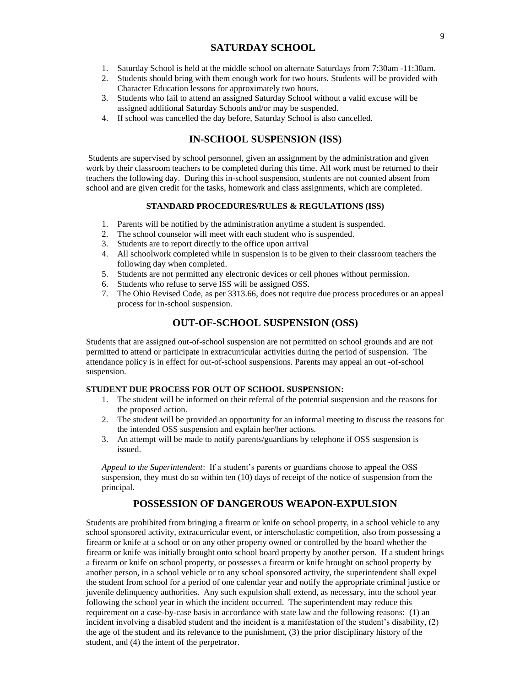## **SATURDAY SCHOOL**

- 1. Saturday School is held at the middle school on alternate Saturdays from 7:30am -11:30am.
- 2. Students should bring with them enough work for two hours. Students will be provided with Character Education lessons for approximately two hours.
- 3. Students who fail to attend an assigned Saturday School without a valid excuse will be assigned additional Saturday Schools and/or may be suspended.
- 4. If school was cancelled the day before, Saturday School is also cancelled.

# **IN-SCHOOL SUSPENSION (ISS)**

Students are supervised by school personnel, given an assignment by the administration and given work by their classroom teachers to be completed during this time. All work must be returned to their teachers the following day.During this in-school suspension, students are not counted absent from school and are given credit for the tasks, homework and class assignments, which are completed.

## **STANDARD PROCEDURES/RULES & REGULATIONS (ISS)**

- 1. Parents will be notified by the administration anytime a student is suspended.
- 2. The school counselor will meet with each student who is suspended.
- 3. Students are to report directly to the office upon arrival
- 4. All schoolwork completed while in suspension is to be given to their classroom teachers the following day when completed.
- 5. Students are not permitted any electronic devices or cell phones without permission.
- 6. Students who refuse to serve ISS will be assigned OSS.
- 7. The Ohio Revised Code, as per 3313.66, does not require due process procedures or an appeal process for in-school suspension.

# **OUT-OF-SCHOOL SUSPENSION (OSS)**

Students that are assigned out-of-school suspension are not permitted on school grounds and are not permitted to attend or participate in extracurricular activities during the period of suspension. The attendance policy is in effect for out-of-school suspensions. Parents may appeal an out -of-school suspension.

### **STUDENT DUE PROCESS FOR OUT OF SCHOOL SUSPENSION:**

- 1. The student will be informed on their referral of the potential suspension and the reasons for the proposed action.
- 2. The student will be provided an opportunity for an informal meeting to discuss the reasons for the intended OSS suspension and explain her/her actions.
- 3. An attempt will be made to notify parents/guardians by telephone if OSS suspension is issued.

*Appeal to the Superintendent*: If a student's parents or guardians choose to appeal the OSS suspension, they must do so within ten (10) days of receipt of the notice of suspension from the principal.

# **POSSESSION OF DANGEROUS WEAPON-EXPULSION**

Students are prohibited from bringing a firearm or knife on school property, in a school vehicle to any school sponsored activity, extracurricular event, or interscholastic competition, also from possessing a firearm or knife at a school or on any other property owned or controlled by the board whether the firearm or knife was initially brought onto school board property by another person. If a student brings a firearm or knife on school property, or possesses a firearm or knife brought on school property by another person, in a school vehicle or to any school sponsored activity, the superintendent shall expel the student from school for a period of one calendar year and notify the appropriate criminal justice or juvenile delinquency authorities. Any such expulsion shall extend, as necessary, into the school year following the school year in which the incident occurred. The superintendent may reduce this requirement on a case-by-case basis in accordance with state law and the following reasons: (1) an incident involving a disabled student and the incident is a manifestation of the student's disability, (2) the age of the student and its relevance to the punishment, (3) the prior disciplinary history of the student, and (4) the intent of the perpetrator.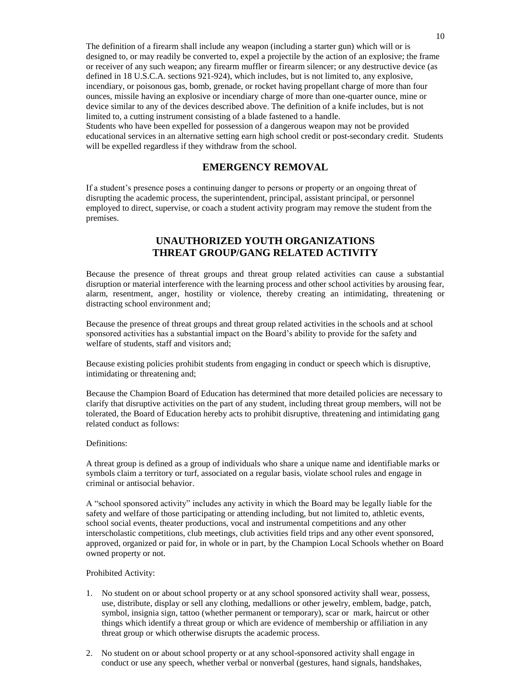The definition of a firearm shall include any weapon (including a starter gun) which will or is designed to, or may readily be converted to, expel a projectile by the action of an explosive; the frame or receiver of any such weapon; any firearm muffler or firearm silencer; or any destructive device (as defined in 18 U.S.C.A. sections 921-924), which includes, but is not limited to, any explosive, incendiary, or poisonous gas, bomb, grenade, or rocket having propellant charge of more than four ounces, missile having an explosive or incendiary charge of more than one-quarter ounce, mine or device similar to any of the devices described above. The definition of a knife includes, but is not limited to, a cutting instrument consisting of a blade fastened to a handle.

Students who have been expelled for possession of a dangerous weapon may not be provided educational services in an alternative setting earn high school credit or post-secondary credit. Students will be expelled regardless if they withdraw from the school.

# **EMERGENCY REMOVAL**

If a student's presence poses a continuing danger to persons or property or an ongoing threat of disrupting the academic process, the superintendent, principal, assistant principal, or personnel employed to direct, supervise, or coach a student activity program may remove the student from the premises.

# **UNAUTHORIZED YOUTH ORGANIZATIONS THREAT GROUP/GANG RELATED ACTIVITY**

Because the presence of threat groups and threat group related activities can cause a substantial disruption or material interference with the learning process and other school activities by arousing fear, alarm, resentment, anger, hostility or violence, thereby creating an intimidating, threatening or distracting school environment and;

Because the presence of threat groups and threat group related activities in the schools and at school sponsored activities has a substantial impact on the Board's ability to provide for the safety and welfare of students, staff and visitors and;

Because existing policies prohibit students from engaging in conduct or speech which is disruptive, intimidating or threatening and;

Because the Champion Board of Education has determined that more detailed policies are necessary to clarify that disruptive activities on the part of any student, including threat group members, will not be tolerated, the Board of Education hereby acts to prohibit disruptive, threatening and intimidating gang related conduct as follows:

## Definitions:

A threat group is defined as a group of individuals who share a unique name and identifiable marks or symbols claim a territory or turf, associated on a regular basis, violate school rules and engage in criminal or antisocial behavior.

A "school sponsored activity" includes any activity in which the Board may be legally liable for the safety and welfare of those participating or attending including, but not limited to, athletic events, school social events, theater productions, vocal and instrumental competitions and any other interscholastic competitions, club meetings, club activities field trips and any other event sponsored, approved, organized or paid for, in whole or in part, by the Champion Local Schools whether on Board owned property or not.

#### Prohibited Activity:

- 1. No student on or about school property or at any school sponsored activity shall wear, possess, use, distribute, display or sell any clothing, medallions or other jewelry, emblem, badge, patch, symbol, insignia sign, tattoo (whether permanent or temporary), scar or mark, haircut or other things which identify a threat group or which are evidence of membership or affiliation in any threat group or which otherwise disrupts the academic process.
- 2. No student on or about school property or at any school-sponsored activity shall engage in conduct or use any speech, whether verbal or nonverbal (gestures, hand signals, handshakes,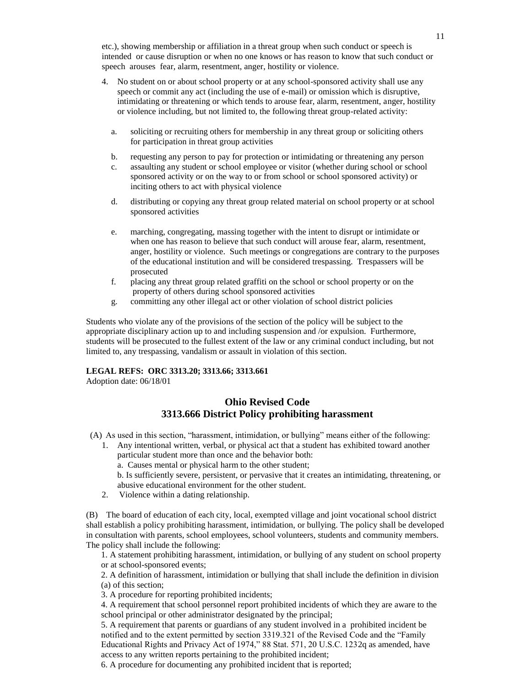etc.), showing membership or affiliation in a threat group when such conduct or speech is intended or cause disruption or when no one knows or has reason to know that such conduct or speech arouses fear, alarm, resentment, anger, hostility or violence.

- 4. No student on or about school property or at any school-sponsored activity shall use any speech or commit any act (including the use of e-mail) or omission which is disruptive, intimidating or threatening or which tends to arouse fear, alarm, resentment, anger, hostility or violence including, but not limited to, the following threat group-related activity:
	- a. soliciting or recruiting others for membership in any threat group or soliciting others for participation in threat group activities
	- b. requesting any person to pay for protection or intimidating or threatening any person
	- c. assaulting any student or school employee or visitor (whether during school or school sponsored activity or on the way to or from school or school sponsored activity) or inciting others to act with physical violence
	- d. distributing or copying any threat group related material on school property or at school sponsored activities
	- e. marching, congregating, massing together with the intent to disrupt or intimidate or when one has reason to believe that such conduct will arouse fear, alarm, resentment, anger, hostility or violence. Such meetings or congregations are contrary to the purposes of the educational institution and will be considered trespassing. Trespassers will be prosecuted
	- f. placing any threat group related graffiti on the school or school property or on the property of others during school sponsored activities
	- g. committing any other illegal act or other violation of school district policies

Students who violate any of the provisions of the section of the policy will be subject to the appropriate disciplinary action up to and including suspension and /or expulsion. Furthermore, students will be prosecuted to the fullest extent of the law or any criminal conduct including, but not limited to, any trespassing, vandalism or assault in violation of this section.

## **LEGAL REFS: ORC 3313.20; 3313.66; 3313.661**

Adoption date: 06/18/01

## **Ohio Revised Code 3313.666 District Policy prohibiting harassment**

(A) As used in this section, "harassment, intimidation, or bullying" means either of the following:

- 1. Any intentional written, verbal, or physical act that a student has exhibited toward another particular student more than once and the behavior both:
	- a. Causes mental or physical harm to the other student;
	- b. Is sufficiently severe, persistent, or pervasive that it creates an intimidating, threatening, or abusive educational environment for the other student.
- 2. Violence within a dating relationship.

(B) The board of education of each city, local, exempted village and joint vocational school district shall establish a policy prohibiting harassment, intimidation, or bullying. The policy shall be developed in consultation with parents, school employees, school volunteers, students and community members. The policy shall include the following:

1. A statement prohibiting harassment, intimidation, or bullying of any student on school property or at school-sponsored events;

2. A definition of harassment, intimidation or bullying that shall include the definition in division (a) of this section;

3. A procedure for reporting prohibited incidents;

4. A requirement that school personnel report prohibited incidents of which they are aware to the school principal or other administrator designated by the principal;

5. A requirement that parents or guardians of any student involved in a prohibited incident be notified and to the extent permitted by section 3319.321 of the Revised Code and the "Family Educational Rights and Privacy Act of 1974," 88 Stat. 571, 20 U.S.C. 1232q as amended, have access to any written reports pertaining to the prohibited incident;

6. A procedure for documenting any prohibited incident that is reported;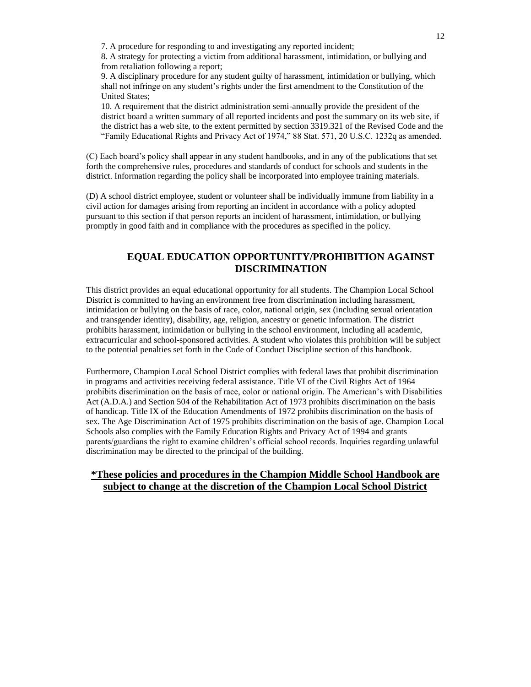7. A procedure for responding to and investigating any reported incident;

8. A strategy for protecting a victim from additional harassment, intimidation, or bullying and from retaliation following a report;

9. A disciplinary procedure for any student guilty of harassment, intimidation or bullying, which shall not infringe on any student's rights under the first amendment to the Constitution of the United States;

10. A requirement that the district administration semi-annually provide the president of the district board a written summary of all reported incidents and post the summary on its web site, if the district has a web site, to the extent permitted by section 3319.321 of the Revised Code and the "Family Educational Rights and Privacy Act of 1974," 88 Stat. 571, 20 U.S.C. 1232q as amended.

(C) Each board's policy shall appear in any student handbooks, and in any of the publications that set forth the comprehensive rules, procedures and standards of conduct for schools and students in the district. Information regarding the policy shall be incorporated into employee training materials.

(D) A school district employee, student or volunteer shall be individually immune from liability in a civil action for damages arising from reporting an incident in accordance with a policy adopted pursuant to this section if that person reports an incident of harassment, intimidation, or bullying promptly in good faith and in compliance with the procedures as specified in the policy.

# **EQUAL EDUCATION OPPORTUNITY/PROHIBITION AGAINST DISCRIMINATION**

This district provides an equal educational opportunity for all students. The Champion Local School District is committed to having an environment free from discrimination including harassment, intimidation or bullying on the basis of race, color, national origin, sex (including sexual orientation and transgender identity), disability, age, religion, ancestry or genetic information. The district prohibits harassment, intimidation or bullying in the school environment, including all academic, extracurricular and school-sponsored activities. A student who violates this prohibition will be subject to the potential penalties set forth in the Code of Conduct Discipline section of this handbook.

Furthermore, Champion Local School District complies with federal laws that prohibit discrimination in programs and activities receiving federal assistance. Title VI of the Civil Rights Act of 1964 prohibits discrimination on the basis of race, color or national origin. The American's with Disabilities Act (A.D.A.) and Section 504 of the Rehabilitation Act of 1973 prohibits discrimination on the basis of handicap. Title IX of the Education Amendments of 1972 prohibits discrimination on the basis of sex. The Age Discrimination Act of 1975 prohibits discrimination on the basis of age. Champion Local Schools also complies with the Family Education Rights and Privacy Act of 1994 and grants parents/guardians the right to examine children's official school records. Inquiries regarding unlawful discrimination may be directed to the principal of the building.

# **\*These policies and procedures in the Champion Middle School Handbook are subject to change at the discretion of the Champion Local School District**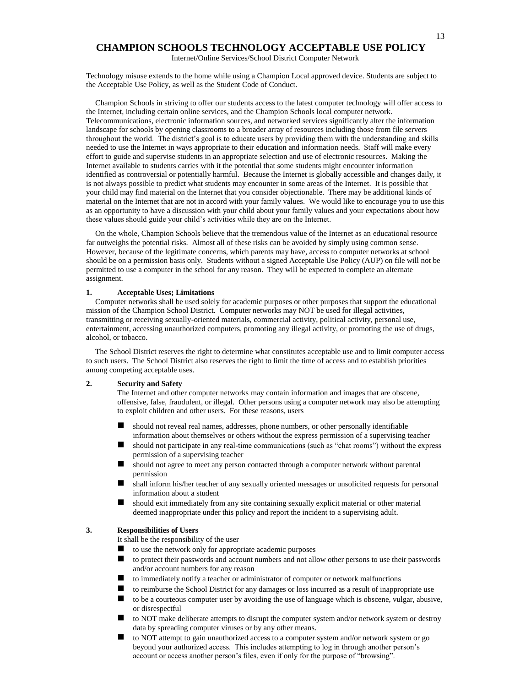## **CHAMPION SCHOOLS TECHNOLOGY ACCEPTABLE USE POLICY**

Internet/Online Services/School District Computer Network

Technology misuse extends to the home while using a Champion Local approved device. Students are subject to the Acceptable Use Policy, as well as the Student Code of Conduct.

Champion Schools in striving to offer our students access to the latest computer technology will offer access to the Internet, including certain online services, and the Champion Schools local computer network. Telecommunications, electronic information sources, and networked services significantly alter the information landscape for schools by opening classrooms to a broader array of resources including those from file servers throughout the world. The district's goal is to educate users by providing them with the understanding and skills needed to use the Internet in ways appropriate to their education and information needs. Staff will make every effort to guide and supervise students in an appropriate selection and use of electronic resources. Making the Internet available to students carries with it the potential that some students might encounter information identified as controversial or potentially harmful. Because the Internet is globally accessible and changes daily, it is not always possible to predict what students may encounter in some areas of the Internet. It is possible that your child may find material on the Internet that you consider objectionable. There may be additional kinds of material on the Internet that are not in accord with your family values. We would like to encourage you to use this as an opportunity to have a discussion with your child about your family values and your expectations about how these values should guide your child's activities while they are on the Internet.

On the whole, Champion Schools believe that the tremendous value of the Internet as an educational resource far outweighs the potential risks. Almost all of these risks can be avoided by simply using common sense. However, because of the legitimate concerns, which parents may have, access to computer networks at school should be on a permission basis only. Students without a signed Acceptable Use Policy (AUP) on file will not be permitted to use a computer in the school for any reason. They will be expected to complete an alternate assignment.

#### **1. Acceptable Uses; Limitations**

Computer networks shall be used solely for academic purposes or other purposes that support the educational mission of the Champion School District. Computer networks may NOT be used for illegal activities, transmitting or receiving sexually-oriented materials, commercial activity, political activity, personal use, entertainment, accessing unauthorized computers, promoting any illegal activity, or promoting the use of drugs, alcohol, or tobacco.

The School District reserves the right to determine what constitutes acceptable use and to limit computer access to such users. The School District also reserves the right to limit the time of access and to establish priorities among competing acceptable uses.

#### **2. Security and Safety**

The Internet and other computer networks may contain information and images that are obscene, offensive, false, fraudulent, or illegal. Other persons using a computer network may also be attempting to exploit children and other users. For these reasons, users

- should not reveal real names, addresses, phone numbers, or other personally identifiable information about themselves or others without the express permission of a supervising teacher
- should not participate in any real-time communications (such as "chat rooms") without the express permission of a supervising teacher
- should not agree to meet any person contacted through a computer network without parental permission
- shall inform his/her teacher of any sexually oriented messages or unsolicited requests for personal information about a student
- should exit immediately from any site containing sexually explicit material or other material deemed inappropriate under this policy and report the incident to a supervising adult.

#### **3. Responsibilities of Users**

It shall be the responsibility of the user

- to use the network only for appropriate academic purposes
- to protect their passwords and account numbers and not allow other persons to use their passwords and/or account numbers for any reason
- to immediately notify a teacher or administrator of computer or network malfunctions
- to reimburse the School District for any damages or loss incurred as a result of inappropriate use
- to be a courteous computer user by avoiding the use of language which is obscene, vulgar, abusive, or disrespectful
- to NOT make deliberate attempts to disrupt the computer system and/or network system or destroy data by spreading computer viruses or by any other means.
- to NOT attempt to gain unauthorized access to a computer system and/or network system or go beyond your authorized access. This includes attempting to log in through another person's account or access another person's files, even if only for the purpose of "browsing".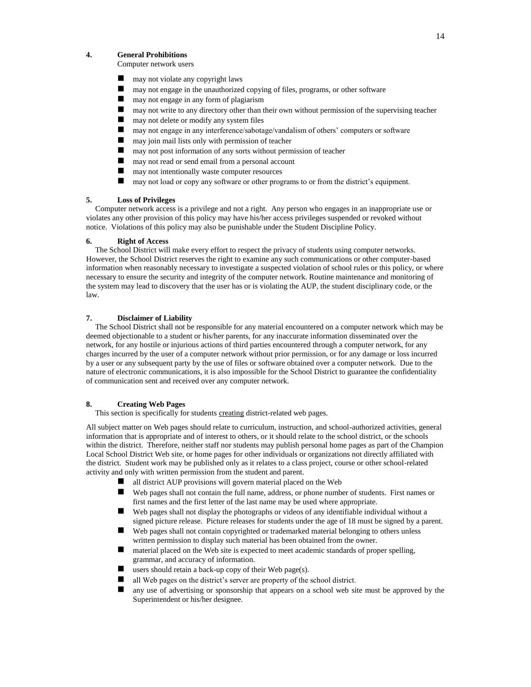#### **4. General Prohibitions**

Computer network users

- may not violate any copyright laws
- may not engage in the unauthorized copying of files, programs, or other software
- may not engage in any form of plagiarism
- $\blacksquare$  may not write to any directory other than their own without permission of the supervising teacher
- may not delete or modify any system files
- may not engage in any interference/sabotage/vandalism of others' computers or software
- may join mail lists only with permission of teacher
- may not post information of any sorts without permission of teacher
- may not read or send email from a personal account
- may not intentionally waste computer resources
- may not load or copy any software or other programs to or from the district's equipment.

#### **5. Loss of Privileges**

Computer network access is a privilege and not a right. Any person who engages in an inappropriate use or violates any other provision of this policy may have his/her access privileges suspended or revoked without notice. Violations of this policy may also be punishable under the Student Discipline Policy.

#### **6. Right of Access**

The School District will make every effort to respect the privacy of students using computer networks. However, the School District reserves the right to examine any such communications or other computer-based information when reasonably necessary to investigate a suspected violation of school rules or this policy, or where necessary to ensure the security and integrity of the computer network. Routine maintenance and monitoring of the system may lead to discovery that the user has or is violating the AUP, the student disciplinary code, or the law.

#### **7. Disclaimer of Liability**

The School District shall not be responsible for any material encountered on a computer network which may be deemed objectionable to a student or his/her parents, for any inaccurate information disseminated over the network, for any hostile or injurious actions of third parties encountered through a computer network, for any charges incurred by the user of a computer network without prior permission, or for any damage or loss incurred by a user or any subsequent party by the use of files or software obtained over a computer network. Due to the nature of electronic communications, it is also impossible for the School District to guarantee the confidentiality of communication sent and received over any computer network.

#### **8. Creating Web Pages**

This section is specifically for students creating district-related web pages.

All subject matter on Web pages should relate to curriculum, instruction, and school-authorized activities, general information that is appropriate and of interest to others, or it should relate to the school district, or the schools within the district. Therefore, neither staff nor students may publish personal home pages as part of the Champion Local School District Web site, or home pages for other individuals or organizations not directly affiliated with the district. Student work may be published only as it relates to a class project, course or other school-related activity and only with written permission from the student and parent.

- all district AUP provisions will govern material placed on the Web
- Web pages shall not contain the full name, address, or phone number of students. First names or first names and the first letter of the last name may be used where appropriate.
- Web pages shall not display the photographs or videos of any identifiable individual without a signed picture release. Picture releases for students under the age of 18 must be signed by a parent.
- Web pages shall not contain copyrighted or trademarked material belonging to others unless written permission to display such material has been obtained from the owner.
- material placed on the Web site is expected to meet academic standards of proper spelling, grammar, and accuracy of information.
- users should retain a back-up copy of their Web page(s).
- $\blacksquare$  all Web pages on the district's server are property of the school district.
- any use of advertising or sponsorship that appears on a school web site must be approved by the Superintendent or his/her designee.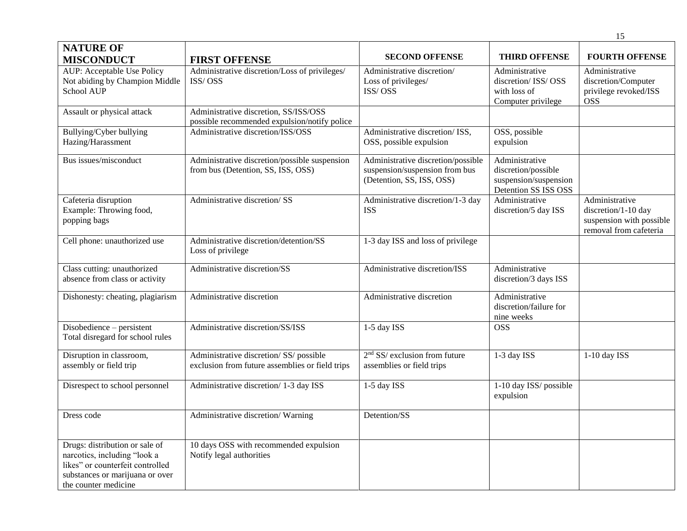|                                                                                                                                                               |                                                                                            |                                                                                                   |                                                                                        | 15                                                                                          |
|---------------------------------------------------------------------------------------------------------------------------------------------------------------|--------------------------------------------------------------------------------------------|---------------------------------------------------------------------------------------------------|----------------------------------------------------------------------------------------|---------------------------------------------------------------------------------------------|
| <b>NATURE OF</b><br><b>MISCONDUCT</b>                                                                                                                         | <b>FIRST OFFENSE</b>                                                                       | <b>SECOND OFFENSE</b>                                                                             | <b>THIRD OFFENSE</b>                                                                   | <b>FOURTH OFFENSE</b>                                                                       |
| AUP: Acceptable Use Policy<br>Not abiding by Champion Middle<br>School AUP                                                                                    | Administrative discretion/Loss of privileges/<br>ISS/OSS                                   | Administrative discretion/<br>Loss of privileges/<br>ISS/OSS                                      | Administrative<br>discretion/ ISS/ OSS<br>with loss of<br>Computer privilege           | Administrative<br>discretion/Computer<br>privilege revoked/ISS<br><b>OSS</b>                |
| Assault or physical attack                                                                                                                                    | Administrative discretion, SS/ISS/OSS<br>possible recommended expulsion/notify police      |                                                                                                   |                                                                                        |                                                                                             |
| Bullying/Cyber bullying<br>Hazing/Harassment                                                                                                                  | Administrative discretion/ISS/OSS                                                          | Administrative discretion/ ISS,<br>OSS, possible expulsion                                        | OSS, possible<br>expulsion                                                             |                                                                                             |
| Bus issues/misconduct                                                                                                                                         | Administrative discretion/possible suspension<br>from bus (Detention, SS, ISS, OSS)        | Administrative discretion/possible<br>suspension/suspension from bus<br>(Detention, SS, ISS, OSS) | Administrative<br>discretion/possible<br>suspension/suspension<br>Detention SS ISS OSS |                                                                                             |
| Cafeteria disruption<br>Example: Throwing food,<br>popping bags                                                                                               | Administrative discretion/SS                                                               | Administrative discretion/1-3 day<br><b>ISS</b>                                                   | Administrative<br>discretion/5 day ISS                                                 | Administrative<br>discretion/1-10 day<br>suspension with possible<br>removal from cafeteria |
| Cell phone: unauthorized use                                                                                                                                  | Administrative discretion/detention/SS<br>Loss of privilege                                | 1-3 day ISS and loss of privilege                                                                 |                                                                                        |                                                                                             |
| Class cutting: unauthorized<br>absence from class or activity                                                                                                 | Administrative discretion/SS                                                               | Administrative discretion/ISS                                                                     | Administrative<br>discretion/3 days ISS                                                |                                                                                             |
| Dishonesty: cheating, plagiarism                                                                                                                              | Administrative discretion                                                                  | Administrative discretion                                                                         | Administrative<br>discretion/failure for<br>nine weeks                                 |                                                                                             |
| Disobedience – persistent<br>Total disregard for school rules                                                                                                 | Administrative discretion/SS/ISS                                                           | 1-5 day ISS                                                                                       | <b>OSS</b>                                                                             |                                                                                             |
| Disruption in classroom,<br>assembly or field trip                                                                                                            | Administrative discretion/ SS/ possible<br>exclusion from future assemblies or field trips | $2nd$ SS/ exclusion from future<br>assemblies or field trips                                      | 1-3 day ISS                                                                            | $1-10$ day ISS                                                                              |
| Disrespect to school personnel                                                                                                                                | Administrative discretion/1-3 day ISS                                                      | 1-5 day ISS                                                                                       | 1-10 day ISS/ possible<br>expulsion                                                    |                                                                                             |
| Dress code                                                                                                                                                    | Administrative discretion/Warning                                                          | Detention/SS                                                                                      |                                                                                        |                                                                                             |
| Drugs: distribution or sale of<br>narcotics, including "look a<br>likes" or counterfeit controlled<br>substances or marijuana or over<br>the counter medicine | 10 days OSS with recommended expulsion<br>Notify legal authorities                         |                                                                                                   |                                                                                        |                                                                                             |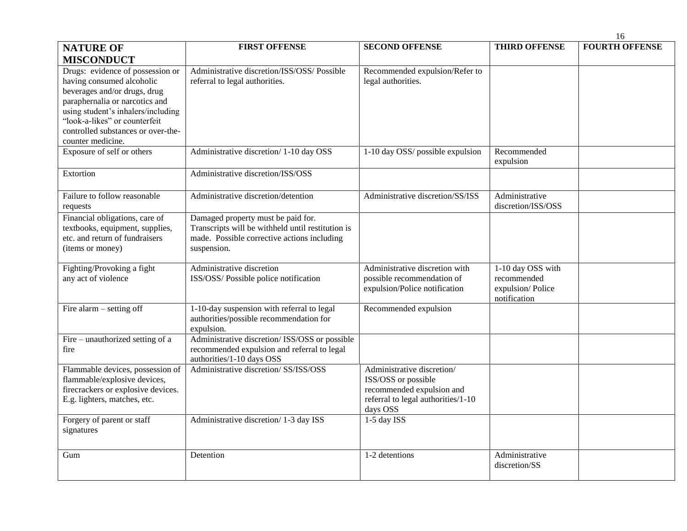|                                                                                                                                                                                                                                                                   |                                                                                                                                                       |                                                                                                                                  |                                                                      | 16                    |
|-------------------------------------------------------------------------------------------------------------------------------------------------------------------------------------------------------------------------------------------------------------------|-------------------------------------------------------------------------------------------------------------------------------------------------------|----------------------------------------------------------------------------------------------------------------------------------|----------------------------------------------------------------------|-----------------------|
| <b>NATURE OF</b>                                                                                                                                                                                                                                                  | <b>FIRST OFFENSE</b>                                                                                                                                  | <b>SECOND OFFENSE</b>                                                                                                            | <b>THIRD OFFENSE</b>                                                 | <b>FOURTH OFFENSE</b> |
| <b>MISCONDUCT</b>                                                                                                                                                                                                                                                 |                                                                                                                                                       |                                                                                                                                  |                                                                      |                       |
| Drugs: evidence of possession or<br>having consumed alcoholic<br>beverages and/or drugs, drug<br>paraphernalia or narcotics and<br>using student's inhalers/including<br>"look-a-likes" or counterfeit<br>controlled substances or over-the-<br>counter medicine. | Administrative discretion/ISS/OSS/ Possible<br>referral to legal authorities.                                                                         | Recommended expulsion/Refer to<br>legal authorities.                                                                             |                                                                      |                       |
| Exposure of self or others                                                                                                                                                                                                                                        | Administrative discretion/1-10 day OSS                                                                                                                | 1-10 day OSS/ possible expulsion                                                                                                 | Recommended<br>expulsion                                             |                       |
| Extortion                                                                                                                                                                                                                                                         | Administrative discretion/ISS/OSS                                                                                                                     |                                                                                                                                  |                                                                      |                       |
| Failure to follow reasonable<br>requests                                                                                                                                                                                                                          | Administrative discretion/detention                                                                                                                   | Administrative discretion/SS/ISS                                                                                                 | Administrative<br>discretion/ISS/OSS                                 |                       |
| Financial obligations, care of<br>textbooks, equipment, supplies,<br>etc. and return of fundraisers<br>(items or money)                                                                                                                                           | Damaged property must be paid for.<br>Transcripts will be withheld until restitution is<br>made. Possible corrective actions including<br>suspension. |                                                                                                                                  |                                                                      |                       |
| Fighting/Provoking a fight<br>any act of violence                                                                                                                                                                                                                 | Administrative discretion<br>ISS/OSS/ Possible police notification                                                                                    | Administrative discretion with<br>possible recommendation of<br>expulsion/Police notification                                    | 1-10 day OSS with<br>recommended<br>expulsion/Police<br>notification |                       |
| Fire alarm $-$ setting off                                                                                                                                                                                                                                        | 1-10-day suspension with referral to legal<br>authorities/possible recommendation for<br>expulsion.                                                   | Recommended expulsion                                                                                                            |                                                                      |                       |
| Fire – unauthorized setting of a<br>fire                                                                                                                                                                                                                          | Administrative discretion/ ISS/OSS or possible<br>recommended expulsion and referral to legal<br>authorities/1-10 days OSS                            |                                                                                                                                  |                                                                      |                       |
| Flammable devices, possession of<br>flammable/explosive devices,<br>firecrackers or explosive devices.<br>E.g. lighters, matches, etc.                                                                                                                            | Administrative discretion/ SS/ISS/OSS                                                                                                                 | Administrative discretion/<br>ISS/OSS or possible<br>recommended expulsion and<br>referral to legal authorities/1-10<br>days OSS |                                                                      |                       |
| Forgery of parent or staff<br>signatures                                                                                                                                                                                                                          | Administrative discretion/ 1-3 day ISS                                                                                                                | 1-5 day ISS                                                                                                                      |                                                                      |                       |
| Gum                                                                                                                                                                                                                                                               | Detention                                                                                                                                             | 1-2 detentions                                                                                                                   | Administrative<br>discretion/SS                                      |                       |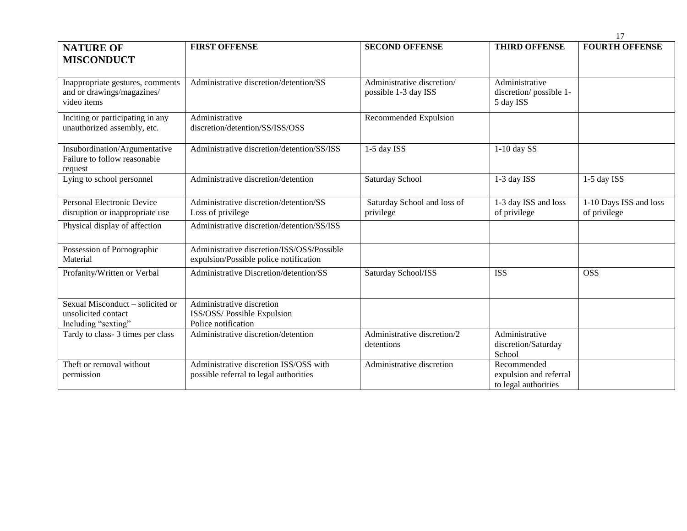|                                                                                |                                                                                      |                                                    |                                                               | 17                                     |
|--------------------------------------------------------------------------------|--------------------------------------------------------------------------------------|----------------------------------------------------|---------------------------------------------------------------|----------------------------------------|
| <b>NATURE OF</b><br><b>MISCONDUCT</b>                                          | <b>FIRST OFFENSE</b>                                                                 | <b>SECOND OFFENSE</b>                              | <b>THIRD OFFENSE</b>                                          | <b>FOURTH OFFENSE</b>                  |
| Inappropriate gestures, comments<br>and or drawings/magazines/<br>video items  | Administrative discretion/detention/SS                                               | Administrative discretion/<br>possible 1-3 day ISS | Administrative<br>discretion/possible 1-<br>5 day ISS         |                                        |
| Inciting or participating in any<br>unauthorized assembly, etc.                | Administrative<br>discretion/detention/SS/ISS/OSS                                    | Recommended Expulsion                              |                                                               |                                        |
| Insubordination/Argumentative<br>Failure to follow reasonable<br>request       | Administrative discretion/detention/SS/ISS                                           | 1-5 day ISS                                        | $1-10$ day SS                                                 |                                        |
| Lying to school personnel                                                      | Administrative discretion/detention                                                  | Saturday School                                    | 1-3 day ISS                                                   | 1-5 day ISS                            |
| Personal Electronic Device<br>disruption or inappropriate use                  | Administrative discretion/detention/SS<br>Loss of privilege                          | Saturday School and loss of<br>privilege           | 1-3 day ISS and loss<br>of privilege                          | 1-10 Days ISS and loss<br>of privilege |
| Physical display of affection                                                  | Administrative discretion/detention/SS/ISS                                           |                                                    |                                                               |                                        |
| Possession of Pornographic<br>Material                                         | Administrative discretion/ISS/OSS/Possible<br>expulsion/Possible police notification |                                                    |                                                               |                                        |
| Profanity/Written or Verbal                                                    | Administrative Discretion/detention/SS                                               | Saturday School/ISS                                | <b>ISS</b>                                                    | <b>OSS</b>                             |
| Sexual Misconduct - solicited or<br>unsolicited contact<br>Including "sexting" | Administrative discretion<br>ISS/OSS/ Possible Expulsion<br>Police notification      |                                                    |                                                               |                                        |
| Tardy to class-3 times per class                                               | Administrative discretion/detention                                                  | Administrative discretion/2<br>detentions          | Administrative<br>discretion/Saturday<br>School               |                                        |
| Theft or removal without<br>permission                                         | Administrative discretion ISS/OSS with<br>possible referral to legal authorities     | Administrative discretion                          | Recommended<br>expulsion and referral<br>to legal authorities |                                        |